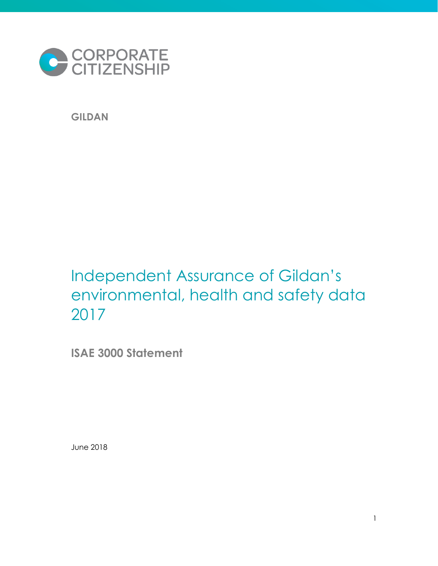

**GILDAN**

# Independent Assurance of Gildan's environmental, health and safety data 2017

**ISAE 3000 Statement** 

June 2018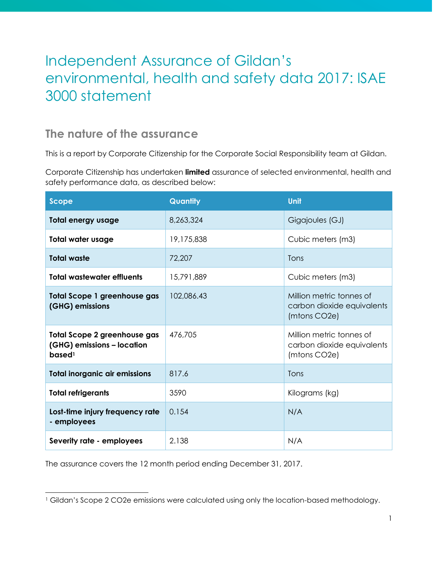# Independent Assurance of Gildan's environmental, health and safety data 2017: ISAE 3000 statement

### **The nature of the assurance**

This is a report by Corporate Citizenship for the Corporate Social Responsibility team at Gildan.

Corporate Citizenship has undertaken **limited** assurance of selected environmental, health and safety performance data, as described below:

| <b>Scope</b>                                                                            | Quantity   | Unit                                                                   |
|-----------------------------------------------------------------------------------------|------------|------------------------------------------------------------------------|
| <b>Total energy usage</b>                                                               | 8,263,324  | Gigajoules (GJ)                                                        |
| <b>Total water usage</b>                                                                | 19,175,838 | Cubic meters (m3)                                                      |
| <b>Total waste</b>                                                                      | 72,207     | Tons                                                                   |
| <b>Total wastewater effluents</b>                                                       | 15,791,889 | Cubic meters (m3)                                                      |
| <b>Total Scope 1 greenhouse gas</b><br>(GHG) emissions                                  | 102,086.43 | Million metric tonnes of<br>carbon dioxide equivalents<br>(mtons CO2e) |
| <b>Total Scope 2 greenhouse gas</b><br>(GHG) emissions - location<br>based <sup>1</sup> | 476,705    | Million metric tonnes of<br>carbon dioxide equivalents<br>(mtons CO2e) |
| <b>Total inorganic air emissions</b>                                                    | 817.6      | Tons                                                                   |
| <b>Total refrigerants</b>                                                               | 3590       | Kilograms (kg)                                                         |
| Lost-time injury frequency rate<br>- employees                                          | 0.154      | N/A                                                                    |
| Severity rate - employees                                                               | 2.138      | N/A                                                                    |

The assurance covers the 12 month period ending December 31, 2017.

l

<sup>&</sup>lt;sup>1</sup> Gildan's Scope 2 CO2e emissions were calculated using only the location-based methodology.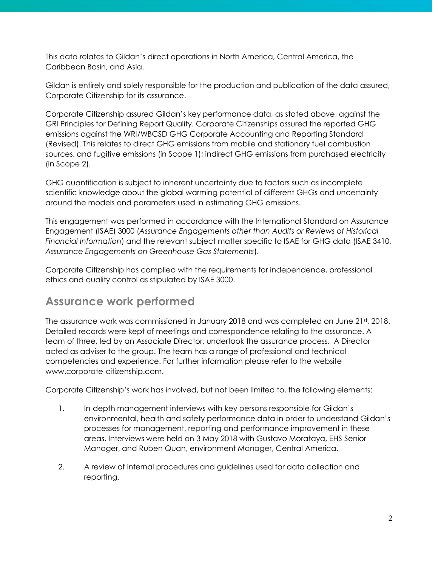This data relates to Gildan's direct operations in North America, Central America, the Caribbean Basin, and Asia.

Gildan is entirely and solely responsible for the production and publication of the data assured, Corporate Citizenship for its assurance.

Corporate Citizenship assured Gildan's key performance data, as stated above, against the GRI Principles for Defining Report Quality. Corporate Citizenships assured the reported GHG emissions against the WRI/WBCSD GHG Corporate Accounting and Reporting Standard (Revised). This relates to direct GHG emissions from mobile and stationary fuel combustion sources, and fugitive emissions (in Scope 1); indirect GHG emissions from purchased electricity (in Scope 2).

GHG quantification is subject to inherent uncertainty due to factors such as incomplete scientific knowledge about the global warming potential of different GHGs and uncertainty around the models and parameters used in estimating GHG emissions.

This engagement was performed in accordance with the International Standard on Assurance Engagement (ISAE) 3000 (*Assurance Engagements other than Audits or Reviews of Historical Financial Information*) and the relevant subject matter specific to ISAE for GHG data (ISAE 3410, *Assurance Engagements on Greenhouse Gas Statements*).

Corporate Citizenship has complied with the requirements for independence, professional ethics and quality control as stipulated by ISAE 3000.

### **Assurance work performed**

The assurance work was commissioned in January 2018 and was completed on June 21st, 2018. Detailed records were kept of meetings and correspondence relating to the assurance. A team of three, led by an Associate Director, undertook the assurance process. A Director acted as adviser to the group. The team has a range of professional and technical competencies and experience. For further information please refer to the website www.corporate-citizenship.com.

Corporate Citizenship's work has involved, but not been limited to, the following elements:

- 1. In-depth management interviews with key persons responsible for Gildan's environmental, health and safety performance data in order to understand Gildan's processes for management, reporting and performance improvement in these areas. Interviews were held on 3 May 2018 with Gustavo Morataya, EHS Senior Manager, and Ruben Quan, environment Manager, Central America.
- 2. A review of internal procedures and guidelines used for data collection and reporting.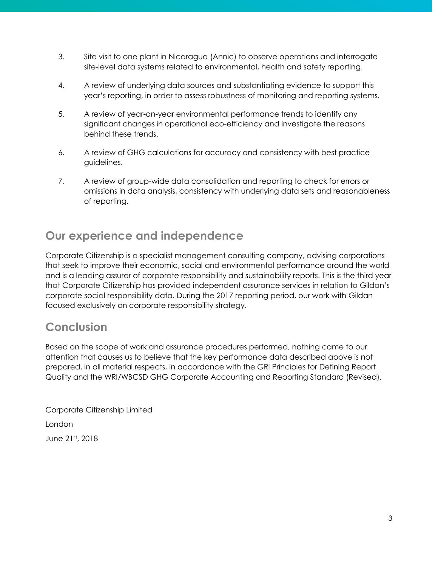- 3. Site visit to one plant in Nicaragua (Annic) to observe operations and interrogate site-level data systems related to environmental, health and safety reporting.
- 4. A review of underlying data sources and substantiating evidence to support this year's reporting, in order to assess robustness of monitoring and reporting systems.
- 5. A review of year-on-year environmental performance trends to identify any significant changes in operational eco-efficiency and investigate the reasons behind these trends.
- 6. A review of GHG calculations for accuracy and consistency with best practice guidelines.
- 7. A review of group-wide data consolidation and reporting to check for errors or omissions in data analysis, consistency with underlying data sets and reasonableness of reporting.

## **Our experience and independence**

Corporate Citizenship is a specialist management consulting company, advising corporations that seek to improve their economic, social and environmental performance around the world and is a leading assuror of corporate responsibility and sustainability reports. This is the third year that Corporate Citizenship has provided independent assurance services in relation to Gildan's corporate social responsibility data. During the 2017 reporting period, our work with Gildan focused exclusively on corporate responsibility strategy.

## **Conclusion**

Based on the scope of work and assurance procedures performed, nothing came to our attention that causes us to believe that the key performance data described above is not prepared, in all material respects, in accordance with the GRI Principles for Defining Report Quality and the WRI/WBCSD GHG Corporate Accounting and Reporting Standard (Revised).

Corporate Citizenship Limited London June 21st, 2018